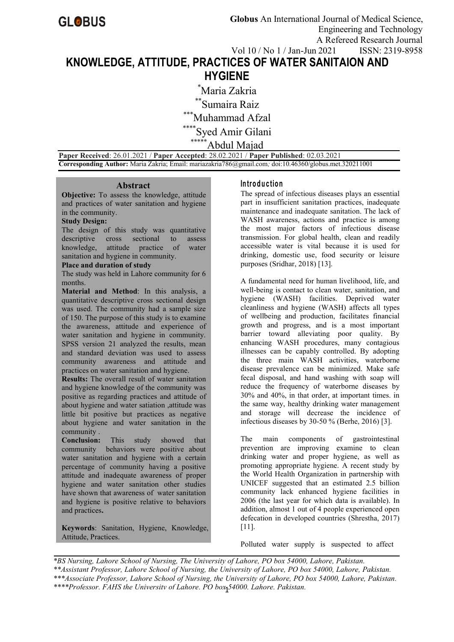# **KNOWLEDGE, ATTITUDE, PRACTICES OF WATER SANITAION AND HYGIENE**

\*Maria Zakria \*\*Sumaira Raiz  $^*$ Muhammad Afzal \*\*\*Syed Amir Gilani Abdul Majad

**Paper Received**: 26.01.2021 / **Paper Accepted**: 28.02.2021 / **Paper Published**: 02.03.2021 **Corresponding Author:** Maria Zakria;Email: mariazakria786@gmail.com*;* doi:10.46360/globus.met.320211001

#### **Abstract**

**Objective:** To assess the knowledge, attitude and practices of water sanitation and hygiene in the community.

# **Study Design:**

The design of this study was quantitative descriptive cross sectional to assess knowledge, attitude practice of water sanitation and hygiene in community.

#### **Place and duration of study**

The study was held in Lahore community for 6 months.

**Material and Method**: In this analysis, a quantitative descriptive cross sectional design was used. The community had a sample size of 150. The purpose of this study is to examine the awareness, attitude and experience of water sanitation and hygiene in community. SPSS version 21 analyzed the results, mean and standard deviation was used to assess community awareness and attitude and practices on water sanitation and hygiene.

**Results:** The overall result of water sanitation and hygiene knowledge of the community was positive as regarding practices and attitude of about hygiene and water satiation ,attitude was little bit positive but practices as negative about hygiene and water sanitation in the community .

**Conclusion:** This study showed that community behaviors were positive about water sanitation and hygiene with a certain percentage of community having a positive attitude and inadequate awareness of proper hygiene and water sanitation other studies have shown that awareness of water sanitation and hygiene is positive relative to behaviors and practices**.**

**Keywords**: Sanitation, Hygiene, Knowledge, Attitude, Practices.

### **In tro d u c tio n**

The spread of infectious diseases plays an essential part in insufficient sanitation practices, inadequate maintenance and inadequate sanitation. The lack of WASH awareness, actions and practice is among the most major factors of infectious disease transmission. For global health, clean and readily accessible water is vital because it is used for drinking, domestic use, food security or leisure purposes (Sridhar, 2018) [13].

A fundamental need for human livelihood, life, and well-being is contact to clean water, sanitation, and hygiene (WASH) facilities. Deprived water cleanliness and hygiene (WASH) affects all types of wellbeing and production, facilitates financial growth and progress, and is a most important barrier toward alleviating poor quality. By enhancing WASH procedures, many contagious illnesses can be capably controlled. By adopting the three main WASH activities, waterborne disease prevalence can be minimized. Make safe fecal disposal, and hand washing with soap will reduce the frequency of waterborne diseases by 30% and 40%, in that order, at important times. in the same way, healthy drinking water management and storage will decrease the incidence of infectious diseases by 30-50 % (Berhe, 2016) [3].

The main components of gastrointestinal prevention are improving examine to clean drinking water and proper hygiene, as well as promoting appropriate hygiene. A recent study by the World Health Organization in partnership with UNICEF suggested that an estimated 2.5 billion community lack enhanced hygiene facilities in 2006 (the last year for which data is available). In addition, almost 1 out of 4 people experienced open defecation in developed countries (Shrestha, 2017) [11].

Polluted water supply is suspected to affect

1 *\*\*\*\*Professor, FAHS the University of Lahore, PO box 54000, Lahore, Pakistan. \*BS Nursing, Lahore School of Nursing, The University of Lahore, PO box 54000, Lahore, Pakistan. \*\*Assistant Professor, Lahore School of Nursing, the University of Lahore, PO box 54000, Lahore, Pakistan. \*\*\*Associate Professor, Lahore School of Nursing, the University of Lahore, PO box 54000, Lahore, Pakistan.*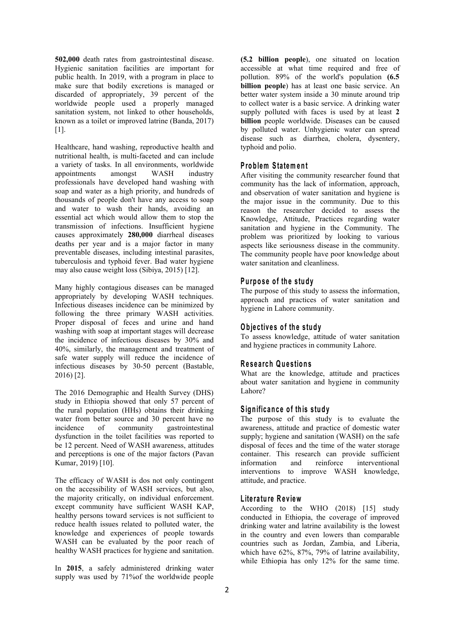**502,000** death rates from gastrointestinal disease. Hygienic sanitation facilities are important for public health. In 2019, with a program in place to make sure that bodily excretions is managed or discarded of appropriately, 39 percent of the worldwide people used a properly managed sanitation system, not linked to other households, known as a toilet or improved latrine (Banda, 2017) [1].

Healthcare, hand washing, reproductive health and nutritional health, is multi-faceted and can include a variety of tasks. In all environments, worldwide appointments amongst WASH industry After visiting the community researcher found that professionals have developed hand washing with soap and water as a high priority, and hundreds of thousands of people don't have any access to soap and water to wash their hands, avoiding an essential act which would allow them to stop the transmission of infections. Insufficient hygiene causes approximately **280,000** diarrheal diseases deaths per year and is a major factor in many preventable diseases, including intestinal parasites, tuberculosis and typhoid fever. Bad water hygiene may also cause weight loss (Sibiya, 2015) [12].

Many highly contagious diseases can be managed appropriately by developing WASH techniques. Infectious diseases incidence can be minimized by following the three primary WASH activities. Proper disposal of feces and urine and hand washing with soap at important stages will decrease the incidence of infectious diseases by 30% and  $40\%$ , similarly, the management and treatment of safe water supply will reduce the incidence of infectious diseases by 30-50 percent (Bastable, 2016) [2].

The 2016 Demographic and Health Survey (DHS) study in Ethiopia showed that only 57 percent of the rural population (HHs) obtains their drinking water from better source and 30 percent have no incidence of community gastrointestinal dysfunction in the toilet facilities was reported to be 12 percent. Need of WASH awareness, attitudes and perceptions is one of the major factors (Pavan Kumar, 2019) [10].

The efficacy of WASH is dos not only contingent on the accessibility of WASH services, but also, the majority critically, on individual enforcement. except community have sufficient WASH KAP, healthy persons toward services is not sufficient to reduce health issues related to polluted water, the knowledge and experiences of people towards WASH can be evaluated by the poor reach of healthy WASH practices for hygiene and sanitation.

In **2015**, a safely administered drinking water supply was used by 71%of the worldwide people **(5.2 billion people**), one situated on location accessible at what time required and free of pollution. 89% of the world's population **(6.5 billion people**) has at least one basic service. An better water system inside a 30 minute around trip to collect water is a basic service. A drinking water supply polluted with faces is used by at least **2 billion** people worldwide. Diseases can be caused by polluted water. Unhygienic water can spread disease such as diarrhea, cholera, dysentery, typhoid and polio.

# **P ro b lem Sta tem en t**

community has the lack of information, approach, and observation of water sanitation and hygiene is the major issue in the community. Due to this reason the researcher decided to assess the Knowledge, Attitude, Practices regarding water sanitation and hygiene in the Community. The problem was prioritized by looking to various aspects like seriousness disease in the community. The community people have poor knowledge about water sanitation and cleanliness.

#### **P u rp o s eo f th e stu d y**

The purpose of this study to assess the information, approach and practices of water sanitation and hygiene in Lahore community.

# **O b je c tiv e so f th e s tu d y**

To assess knowledge, attitude of water sanitation and hygiene practices in community Lahore.

# **R e s e a rch Q u e stio n s**

What are the knowledge, attitude and practices about water sanitation and hygiene in community Lahore?

# **S ig n ific an c e o fth is s tu d y**

The purpose of this study is to evaluate the awareness, attitude and practice of domestic water supply; hygiene and sanitation (WASH) on the safe disposal of feces and the time of the water storage container. This research can provide sufficient information and reinforce interventional interventions to improve WASH knowledge, attitude, and practice.

# **L ite ra tu re R e v iew**

According to the WHO (2018) [15] study conducted in Ethiopia, the coverage of improved drinking water and latrine availability is the lowest in the country and even lowers than comparable countries such as Jordan, Zambia, and Liberia, which have 62%, 87%, 79% of latrine availability, while Ethiopia has only 12% for the same time.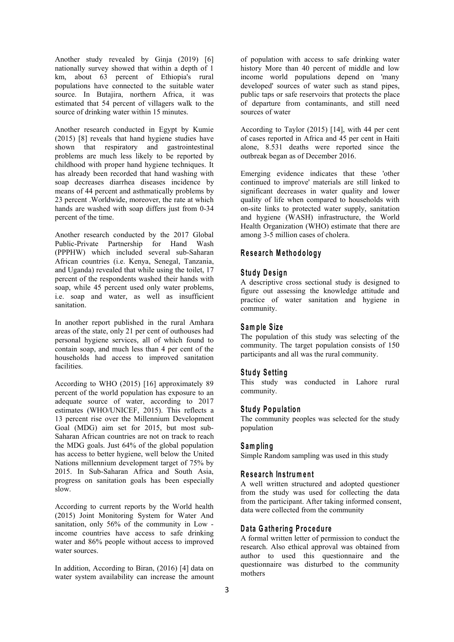Another study revealed by Ginja (2019) [6] nationally survey showed that within a depth of 1 km, about 63 percent of Ethiopia's rural populations have connected to the suitable water source. In Butajira, northern Africa, it was estimated that 54 percent of villagers walk to the source of drinking water within 15 minutes.

Another research conducted in Egypt by Kumie (2015) [8] reveals that hand hygiene studies have shown that respiratory and gastrointestinal problems are much less likely to be reported by childhood with proper hand hygiene techniques. It has already been recorded that hand washing with soap decreases diarrhea diseases incidence by means of 44 percent and asthmatically problems by 23 percent .Worldwide, moreover, the rate at which hands are washed with soap differs just from 0-34 percent of the time.

Another research conducted by the 2017 Global Public-Private Partnership for Hand Wash (PPPHW) which included several sub-Saharan African countries (i.e. Kenya, Senegal, Tanzania, and Uganda) revealed that while using the toilet, 17 percent of the respondents washed their hands with soap, while 45 percent used only water problems, i.e. soap and water, as well as insufficient sanitation.

In another report published in the rural Amhara areas of the state, only 21 per cent of outhouses had personal hygiene services, all of which found to contain soap, and much less than 4 per cent of the households had access to improved sanitation facilities.

According to WHO (2015) [16] approximately 89 percent of the world population has exposure to an adequate source of water, according to 2017 estimates (WHO/UNICEF, 2015). This reflects a 13 percent rise over the Millennium Development Goal (MDG) aim set for 2015, but most sub- Saharan African countries are not on track to reach the MDG goals. Just 64% of the global population has access to better hygiene, well below the United Nations millennium development target of 75% by 2015. In Sub-Saharan Africa and South Asia, progress on sanitation goals has been especially slow.

According to current reports by the World health (2015) Joint Monitoring System for Water And sanitation, only 56% of the community in Low income countries have access to safe drinking water and 86% people without access to improved water sources.

In addition, According to Biran, (2016) [4] data on water system availability can increase the amount of population with access to safe drinking water history More than 40 percent of middle and low income world populations depend on 'many developed' sources of water such as stand pipes, public taps or safe reservoirs that protects the place of departure from contaminants, and still need sources of water

According to Taylor (2015) [14], with 44 per cent of cases reported in Africa and 45 per cent in Haiti alone, 8.531 deaths were reported since the outbreak began as of December 2016.

Emerging evidence indicates that these 'other continued to improve' materials are still linked to significant decreases in water quality and lower quality of life when compared to households with on-site links to protected water supply, sanitation and hygiene (WASH) infrastructure, the World Health Organization (WHO) estimate that there are among 3-5 million cases of cholera.

### **R e s e a rch M e th o d o lo g y**

### **S tu d yD e s ig n**

A descriptive cross sectional study is designed to figure out assessing the knowledge attitude and practice of water sanitation and hygiene in community.

#### **S am p le Size**

The population of this study was selecting of the community. The target population consists of 150 participants and all was the rural community.

# $Study$  **Setting**

This study was conducted in Lahore rural community.

#### **Study Population**

The community peoples was selected for the study population

#### **S am p lin g**

Simple Random sampling was used in this study

## **R e s e a rch In s trum en t**

A well written structured and adopted questioner from the study was used for collecting the data from the participant. After taking informed consent, data were collected from the community

# **D a ta G a th e rin g P ro c ed u re**

A formal written letter of permission to conduct the research. Also ethical approval was obtained from author to used this questionnaire and the questionnaire was disturbed to the community mothers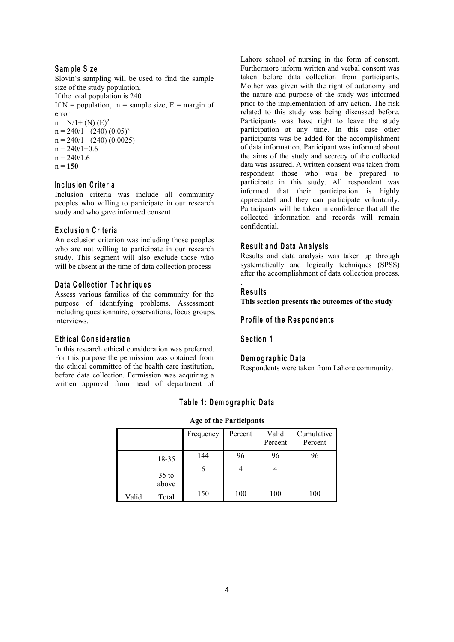# **S am p le S ize**

Slovin's sampling will be used to find the sample size of the study population.<br>If the total population is 240 If N = population,  $n =$  sample size,  $E =$  margin of error  $n = N/1 + (N) (E)^2$ 2  $n = 240/1 + (240) (0.05)^2$ 2  $n = 240/1+(240) (0.0025)$  $n = 240/1+0.6$  $n = 240/1.6$ 

 $n = 150$ 

### **In c lu s io n C rite ria**

Inclusion criteria was include all community peoples who willing to participate in our research study and who gave informed consent

# **E x c lu s io n C rite ria**

An exclusion criterion was including those peoples who are not willing to participate in our research study. This segment will also exclude those who will be absent at the time of data collection process

## **D a ta C o llec tio n T e ch n iq u e s**

Assess various families of the community for the purpose of identifying problems. Assessment including questionnaire, observations, focus groups, interviews.

# **E th ic a l C o n s id e ra tio n**

In this research ethical consideration was preferred. For this purpose the permission was obtained from the ethical committee of the health care institution, before data collection. Permission was acquiring a written approval from head of department of

Lahore school of nursing in the form of consent. Furthermore inform written and verbal consent was taken before data collection from participants. Mother was given with the right of autonomy and the nature and purpose of the study was informed prior to the implementation of any action. The risk related to this study was being discussed before. Participants was have right to leave the study participation at any time. In this case other participants was be added for the accomplishment of data information. Participant was informed about the aims of the study and secrecy of the collected data was assured. A written consent was taken from respondent those who was be prepared to participate in this study. All respondent was informed that their participation is highly appreciated and they can participate voluntarily. Participants will be taken in confidence that all the collected information and records will remain confidential.

# **R e su lt an d D a ta A n a ly s is**

Results and data analysis was taken up through systematically and logically techniques (SPSS) after the accomplishment of data collection process.

### **R e su lts**

.

**This section presents the outcomes of the study**

# **P ro file o f th e R e sp o n d en ts**

# **S e c tio n 1**

#### **D em og rap h ic D a ta**

Respondents were taken from Lahore community.

# **T ab le 1 : D em o g rap h ic D a ta**

#### **Age of the Participants**

|       |                  | Frequency | Percent        | Valid<br>Percent | Cumulative<br>Percent |
|-------|------------------|-----------|----------------|------------------|-----------------------|
|       |                  |           |                |                  |                       |
|       | 18-35            | 144       | 96             | 96               | 96                    |
|       | $35$ to<br>above | 6         | $\overline{4}$ | $\overline{4}$   |                       |
| Valid | Total            | 150       | 100            | 100              | 100                   |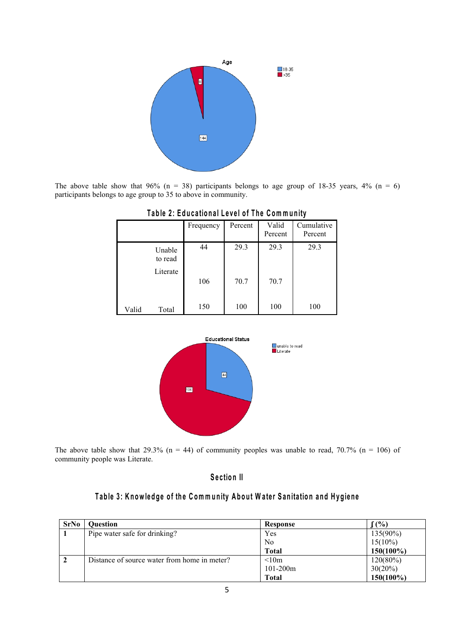

The above table show that 96% (n = 38) participants belongs to age group of 18-35 years, 4% (n = 6) participants belongs to age group to 35 to above in community.

|       |                               | Frequency | Percent | Valid<br>Percent | Cumulative<br>Percent |
|-------|-------------------------------|-----------|---------|------------------|-----------------------|
|       | Unable<br>to read<br>Literate | 44        | 29.3    | 29.3             | 29.3                  |
|       |                               | 106       | 70.7    | 70.7             |                       |
| Valid | Total                         | 150       | 100     | 100              | 100                   |

# Table 2: Educational Level of The Community



The above table show that 29.3% (n = 44) of community peoples was unable to read, 70.7% (n = 106) of community people was Literate.

# **S e c tio n II**

# Table 3: Knowledge of the Community About Water Sanitation and Hygiene

| <b>SrNo</b> | <b>Ouestion</b>                              | Response       | (0, 0)       |
|-------------|----------------------------------------------|----------------|--------------|
|             | Pipe water safe for drinking?                | Yes            | 135(90%)     |
|             |                                              | N <sub>o</sub> | $15(10\%)$   |
|             |                                              | <b>Total</b>   | $150(100\%)$ |
|             | Distance of source water from home in meter? | < 10m          | 120(80%)     |
|             |                                              | $101-200m$     | $30(20\%)$   |
|             |                                              | <b>Total</b>   | 150(100%)    |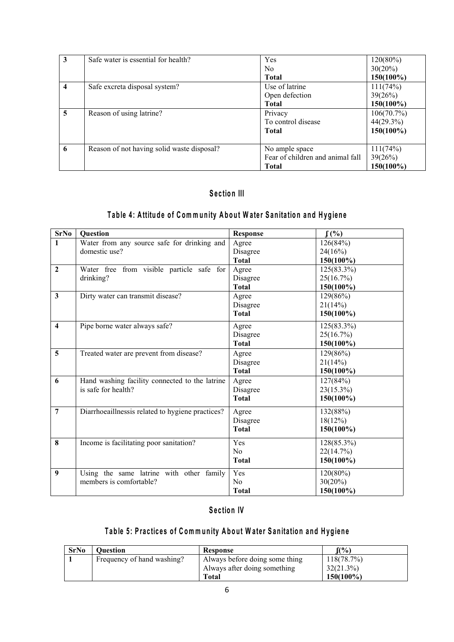| 3                       | Safe water is essential for health?        | Yes                              | 120(80%)   |
|-------------------------|--------------------------------------------|----------------------------------|------------|
|                         |                                            | N <sub>o</sub>                   | $30(20\%)$ |
|                         |                                            | <b>Total</b>                     | 150(100%)  |
| $\overline{\mathbf{4}}$ | Safe excreta disposal system?              | Use of latrine                   | 111(74%)   |
|                         |                                            | Open defection                   | 39(26%)    |
|                         |                                            | <b>Total</b>                     | 150(100%)  |
| 5                       | Reason of using latrine?                   | Privacy                          | 106(70.7%) |
|                         |                                            | To control disease               | 44(29.3%)  |
|                         |                                            | <b>Total</b>                     | 150(100%)  |
|                         |                                            |                                  |            |
| 6                       | Reason of not having solid waste disposal? | No ample space                   | 111(74%)   |
|                         |                                            | Fear of children and animal fall | 39(26%)    |
|                         |                                            | <b>Total</b>                     | 150(100%)  |

# **S e c tio n III**

# Table 4: Attitude of Community About Water Sanitation and Hygiene

| <b>SrNo</b>             | <b>Question</b>                                  | <b>Response</b> | $f(\%)$      |
|-------------------------|--------------------------------------------------|-----------------|--------------|
| $\mathbf{1}$            | Water from any source safe for drinking and      | Agree           | 126(84%)     |
|                         | domestic use?                                    | Disagree        | 24(16%)      |
|                         |                                                  | <b>Total</b>    | 150(100%)    |
| $\mathbf{2}$            | Water free from visible particle safe for        | Agree           | 125(83.3%)   |
|                         | drinking?                                        | Disagree        | 25(16.7%)    |
|                         |                                                  | <b>Total</b>    | $150(100\%)$ |
| $\overline{\mathbf{3}}$ | Dirty water can transmit disease?                | Agree           | 129(86%)     |
|                         |                                                  | Disagree        | 21(14%)      |
|                         |                                                  | <b>Total</b>    | 150(100%)    |
| $\overline{\mathbf{4}}$ | Pipe borne water always safe?                    | Agree           | 125(83.3%)   |
|                         |                                                  | Disagree        | 25(16.7%)    |
|                         |                                                  | <b>Total</b>    | $150(100\%)$ |
| 5                       | Treated water are prevent from disease?          | Agree           | 129(86%)     |
|                         |                                                  | Disagree        | 21(14%)      |
|                         |                                                  | <b>Total</b>    | $150(100\%)$ |
| 6                       | Hand washing facility connected to the latrine   | Agree           | 127(84%)     |
|                         | is safe for health?                              | Disagree        | 23(15.3%)    |
|                         |                                                  | <b>Total</b>    | $150(100\%)$ |
| $\overline{7}$          | Diarrhoeaillnessis related to hygiene practices? | Agree           | 132(88%)     |
|                         |                                                  | Disagree        | 18(12%)      |
|                         |                                                  | <b>Total</b>    | $150(100\%)$ |
| 8                       | Income is facilitating poor sanitation?          | Yes             | 128(85.3%)   |
|                         |                                                  | No              | 22(14.7%)    |
|                         |                                                  | <b>Total</b>    | $150(100\%)$ |
| 9                       | Using the same latrine with other family         | Yes             | 120(80%)     |
|                         | members is comfortable?                          | No              | 30(20%)      |
|                         |                                                  | <b>Total</b>    | 150(100%)    |

# **S e c tio n IV**

# Table 5: Practices of Community About Water Sanitation and Hygiene

| <b>SrNo</b> | <b>Ouestion</b>            | Response                       | $f(\%)$      |
|-------------|----------------------------|--------------------------------|--------------|
|             | Frequency of hand washing? | Always before doing some thing | 118(78.7%)   |
|             |                            | Always after doing something   | 32(21.3%)    |
|             |                            | Total                          | $150(100\%)$ |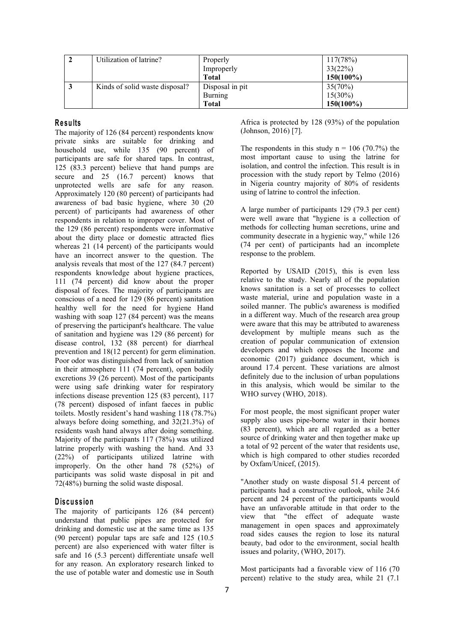| Utilization of latrine?        | Properly        | 117(78%)     |
|--------------------------------|-----------------|--------------|
|                                | Improperly      | 33(22%)      |
|                                | <b>Total</b>    | $150(100\%)$ |
| Kinds of solid waste disposal? | Disposal in pit | $35(70\%)$   |
|                                | Burning         | $15(30\%)$   |
|                                | <b>Total</b>    | $150(100\%)$ |

# **R e su lts**

The majority of 126 (84 percent) respondents know private sinks are suitable for drinking and household use, while 135 (90 percent) of participants are safe for shared taps. In contrast, 125 (83.3 percent) believe that hand pumps are secure and 25 (16.7 percent) knows that unprotected wells are safe for any reason. Approximately 120 (80 percent) of participants had awareness of bad basic hygiene, where 30 (20 percent) of participants had awareness of other respondents in relation to improper cover. Most of the 129 (86 percent) respondents were informative about the dirty place or domestic attracted flies whereas 21 (14 percent) of the participants would have an incorrect answer to the question. The analysis reveals that most of the 127 (84.7 percent) respondents knowledge about hygiene practices, 111 (74 percent) did know about the proper disposal of feces. The majority of participants are conscious of a need for 129 (86 percent) sanitation healthy well for the need for hygiene Hand washing with soap 127 (84 percent) was the means of preserving the participant's healthcare. The value of sanitation and hygiene was 129 (86 percent) for disease control, 132 (88 percent) for diarrheal prevention and 18(12 percent) for germ elimination. Poor odor was distinguished from lack of sanitation in their atmosphere 111 (74 percent), open bodily excretions 39 (26 percent). Most of the participants were using safe drinking water for respiratory infections disease prevention 125 (83 percent), 117 (78 percent) disposed of infant faeces in public toilets. Mostly resident's hand washing 118 (78.7%) always before doing something, and 32(21.3%) of residents wash hand always after doing something. Majority of the participants 117 (78%) was utilized latrine properly with washing the hand. And 33 (22%) of participants utilized latrine with improperly. On the other hand 78 (52%) of by Oxi participants was solid waste disposal in pit and 72(48%) burning the solid waste disposal.

### **D is cu s s io n**

The majority of participants 126 (84 percent) understand that public pipes are protected for drinking and domestic use at the same time as 135 (90 percent) popular taps are safe and 125 (10.5 percent) are also experienced with water filter is safe and 16 (5.3 percent) differentiate unsafe well for any reason. An exploratory research linked to the use of potable water and domestic use in South Africa is protected by  $128 (93%)$  of the population (Johnson, 2016) [7].

The respondents in this study  $n = 106$  (70.7%) the most important cause to using the latrine for isolation, and control the infection. This result is in procession with the study report by Telmo (2016) in Nigeria country majority of 80% of residents using of latrine to control the infection.

A large number of participants 129 (79.3 per cent) were well aware that "hygiene is a collection of methods for collecting human secretions, urine and community desecrate in a hygienic way," while 126 (74 per cent) of participants had an incomplete response to the problem.

Reported by USAID (2015), this is even less relative to the study. Nearly all of the population knows sanitation is a set of processes to collect waste material, urine and population waste in a soiled manner. The public's awareness is modified in a different way. Much of the research area group were aware that this may be attributed to awareness development by multiple means such as the creation of popular communication of extension developers and which opposes the Income and economic (2017) guidance document, which is around 17.4 percent. These variations are almost definitely due to the inclusion of urban populations in this analysis, which would be similar to the WHO survey (WHO, 2018).

For most people, the most significant proper water supply also uses pipe-borne water in their homes (83 percent), which are all regarded as a better source of drinking water and then together make up a total of 92 percent of the water that residents use, which is high compared to other studies recorded by Oxfam/Unicef, (2015).

"Another study on waste disposal 51.4 percent of participants had a constructive outlook, while 24.6 percent and 24 percent of the participants would have an unfavorable attitude in that order to the view that "the effect of adequate waste management in open spaces and approximately road sides causes the region to lose its natural beauty, bad odor to the environment, social health issues and polarity, (WHO, 2017).

Most participants had a favorable view of 116 (70 percent) relative to the study area, while 21 (7.1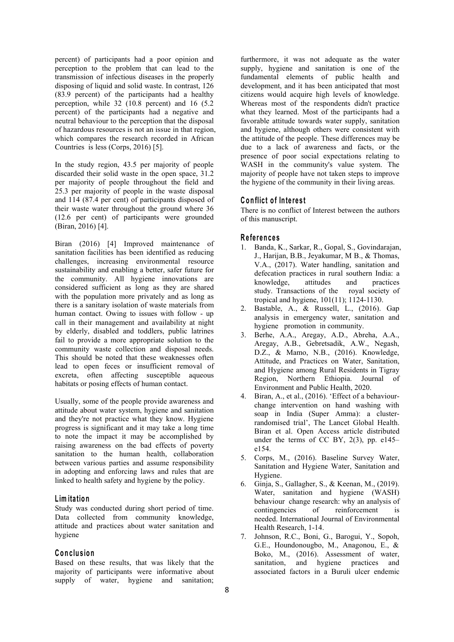percent) of participants had a poor opinion and perception to the problem that can lead to the transmission of infectious diseases in the properly disposing of liquid and solid waste. In contrast, 126 (83.9 percent) of the participants had a healthy perception, while 32 (10.8 percent) and 16 (5.2 percent) of the participants had a negative and neutral behaviour to the perception that the disposal of hazardous resources is not an issue in that region, which compares the research recorded in African Countries is less (Corps, 2016) [5].

In the study region, 43.5 per majority of people discarded their solid waste in the open space, 31.2 per majority of people throughout the field and 25.3 per majority of people in the waste disposal and 114 (87.4 per cent) of participants disposed of their waste water throughout the ground where 36 (12.6 per cent) of participants were grounded (Biran, 2016) [4].

Biran (2016) [4] Improved maintenance of sanitation facilities has been identified as reducing challenges, increasing environmental resource sustainability and enabling a better, safer future for the community. All hygiene innovations are considered sufficient as long as they are shared with the population more privately and as long as there is a sanitary isolation of waste materials from human contact. Owing to issues with follow - up call in their management and availability at night by elderly, disabled and toddlers, public latrines fail to provide a more appropriate solution to the community waste collection and disposal needs. This should be noted that these weaknesses often lead to open feces or insufficient removal of excreta, often affecting susceptible aqueous habitats or posing effects of human contact.

Usually, some of the people provide awareness and attitude about water system, hygiene and sanitation and they're not practice what they know. Hygiene progress is significant and it may take a long time to note the impact it may be accomplished by raising awareness on the bad effects of poverty sanitation to the human health, collaboration between various parties and assume responsibility in adopting and enforcing laws and rules that are linked to health safety and hygiene by the policy.

# **L im ita tio n**

Study was conducted during short period of time. Data collected from community knowledge, attitude and practices about water sanitation and hygiene

### **C o n c lu sio n**

Based on these results, that was likely that the sanitation, and majority of participants were informative about supply of water, hygiene and sanitation;

furthermore, it was not adequate as the water supply, hygiene and sanitation is one of the fundamental elements of public health and development, and it has been anticipated that most citizens would acquire high levels of knowledge. Whereas most of the respondents didn't practice what they learned. Most of the participants had a favorable attitude towards water supply, sanitation and hygiene, although others were consistent with the attitude of the people. These differences may be due to alack of awareness and facts, or the presence of poor social expectations relating to WASH in the community's value system. The majority of people have not taken steps to improve the hygiene of the community in their living areas.

#### **C o n flic t o f In te re s t**

There is no conflict of Interest between the authors of this manuscript.

#### **R e fe ren c e s**

- 1. Banda, K., Sarkar, R., Gopal, S., Govindarajan, J., Harijan, B.B., Jeyakumar, M B., & Thomas, V.A., (2017). Water handling, sanitation and defecation practices in rural southern India: a knowledge, attitudes and practices study. Transactions of the royal society of tropical and hygiene, 101(11); 1124-1130.
- Bastable, A., & Russell, L., (2016). Gap analysis in emergency water, sanitation and hygiene promotion in community.
- 3. Berhe, A.A., Aregay, A.D., Abreha, A.A., Aregay, A.B., Gebretsadik, A.W., Negash, D.Z., & Mamo, N.B., (2016). Knowledge, Attitude, and Practices on Water, Sanitation, and Hygiene among Rural Residents in Tigray Region, Northern Ethiopia. Journal of Environment and Public Health, 2020.
- 4. Biran, A., et al., (2016). 'Effect of a behaviour change intervention on hand washing with soap in India (Super Amma): a clusterrandomised trial', The Lancet Global Health. Biran et al. Open Access article distributed under the terms of CC BY, 2(3), pp. e145– e154.
- 5. Corps, M., (2016). Baseline Survey Water, Sanitation and Hygiene Water, Sanitation and Hygiene.
- 6. Ginja, S., Gallagher, S., & Keenan, M., (2019). Water, sanitation and hygiene (WASH) behaviour change research: why an analysis of of reinforcement is needed. International Journal of Environmental Health Research, 1-14.
- 7. Johnson, R.C., Boni, G., Barogui, Y., Sopoh, G.E., Houndonougbo, M., Anagonou, E., & Boko, M., (2016). Assessment of water, hygiene practices and associated factors in a Buruli ulcer endemic